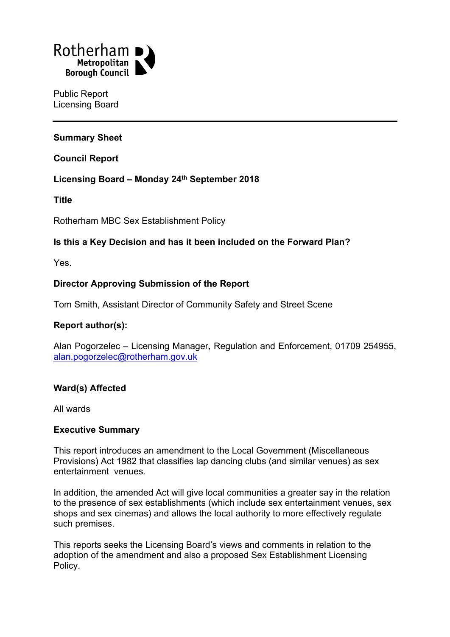

Public Report Licensing Board

## **Summary Sheet**

**Council Report**

### **Licensing Board – Monday 24th September 2018**

**Title**

Rotherham MBC Sex Establishment Policy

## **Is this a Key Decision and has it been included on the Forward Plan?**

Yes.

## **Director Approving Submission of the Report**

Tom Smith, Assistant Director of Community Safety and Street Scene

### **Report author(s):**

Alan Pogorzelec – Licensing Manager, Regulation and Enforcement, 01709 254955, [alan.pogorzelec@rotherham.gov.uk](mailto:alan.pogorzelec@rotherham.gov.uk)

### **Ward(s) Affected**

All wards

## **Executive Summary**

This report introduces an amendment to the Local Government (Miscellaneous Provisions) Act 1982 that classifies lap dancing clubs (and similar venues) as sex entertainment venues.

In addition, the amended Act will give local communities a greater say in the relation to the presence of sex establishments (which include sex entertainment venues, sex shops and sex cinemas) and allows the local authority to more effectively regulate such premises.

This reports seeks the Licensing Board's views and comments in relation to the adoption of the amendment and also a proposed Sex Establishment Licensing Policy.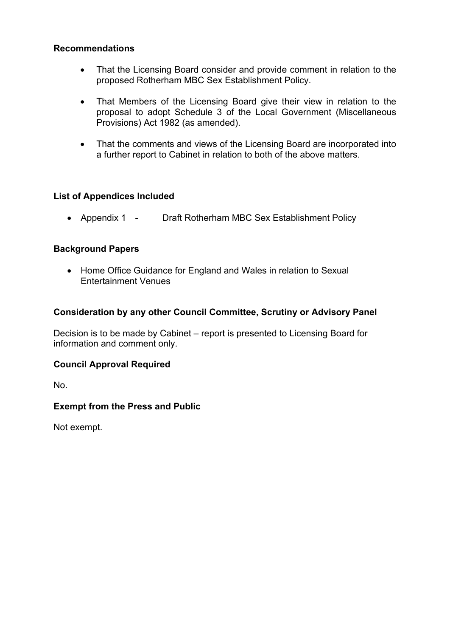### **Recommendations**

- That the Licensing Board consider and provide comment in relation to the proposed Rotherham MBC Sex Establishment Policy.
- That Members of the Licensing Board give their view in relation to the proposal to adopt Schedule 3 of the Local Government (Miscellaneous Provisions) Act 1982 (as amended).
- That the comments and views of the Licensing Board are incorporated into a further report to Cabinet in relation to both of the above matters.

## **List of Appendices Included**

• Appendix 1 - Draft Rotherham MBC Sex Establishment Policy

## **Background Papers**

• Home Office Guidance for England and Wales in relation to Sexual Entertainment Venues

### **Consideration by any other Council Committee, Scrutiny or Advisory Panel**

Decision is to be made by Cabinet – report is presented to Licensing Board for information and comment only.

### **Council Approval Required**

No.

## **Exempt from the Press and Public**

Not exempt.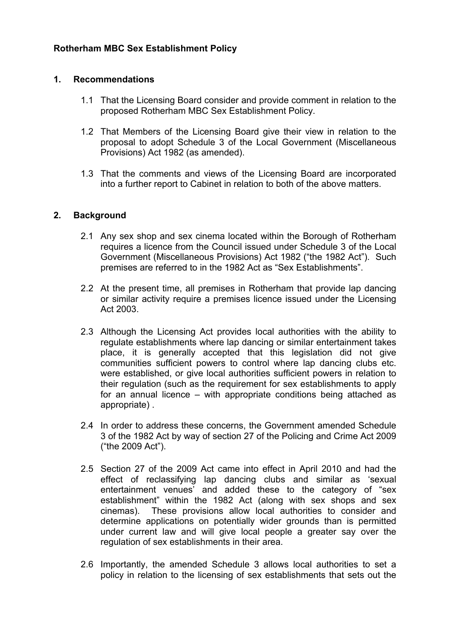## **Rotherham MBC Sex Establishment Policy**

### **1. Recommendations**

- 1.1 That the Licensing Board consider and provide comment in relation to the proposed Rotherham MBC Sex Establishment Policy.
- 1.2 That Members of the Licensing Board give their view in relation to the proposal to adopt Schedule 3 of the Local Government (Miscellaneous Provisions) Act 1982 (as amended).
- 1.3 That the comments and views of the Licensing Board are incorporated into a further report to Cabinet in relation to both of the above matters.

## **2. Background**

- 2.1 Any sex shop and sex cinema located within the Borough of Rotherham requires a licence from the Council issued under Schedule 3 of the Local Government (Miscellaneous Provisions) Act 1982 ("the 1982 Act"). Such premises are referred to in the 1982 Act as "Sex Establishments".
- 2.2 At the present time, all premises in Rotherham that provide lap dancing or similar activity require a premises licence issued under the Licensing Act 2003.
- 2.3 Although the Licensing Act provides local authorities with the ability to regulate establishments where lap dancing or similar entertainment takes place, it is generally accepted that this legislation did not give communities sufficient powers to control where lap dancing clubs etc. were established, or give local authorities sufficient powers in relation to their regulation (such as the requirement for sex establishments to apply for an annual licence – with appropriate conditions being attached as appropriate) .
- 2.4 In order to address these concerns, the Government amended Schedule 3 of the 1982 Act by way of section 27 of the Policing and Crime Act 2009 ("the 2009 Act").
- 2.5 Section 27 of the 2009 Act came into effect in April 2010 and had the effect of reclassifying lap dancing clubs and similar as 'sexual entertainment venues' and added these to the category of "sex establishment" within the 1982 Act (along with sex shops and sex cinemas). These provisions allow local authorities to consider and determine applications on potentially wider grounds than is permitted under current law and will give local people a greater say over the regulation of sex establishments in their area.
- 2.6 Importantly, the amended Schedule 3 allows local authorities to set a policy in relation to the licensing of sex establishments that sets out the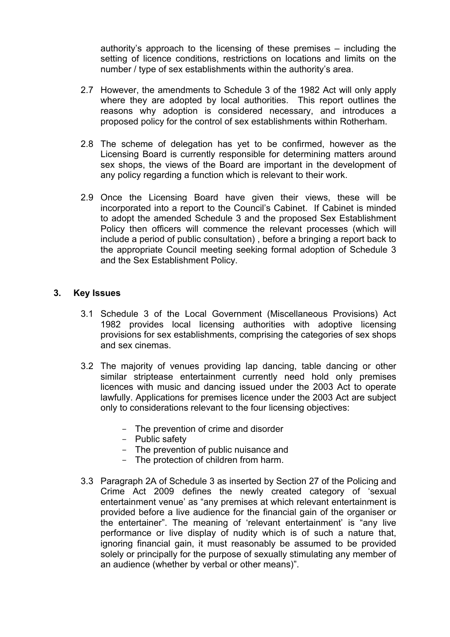authority's approach to the licensing of these premises – including the setting of licence conditions, restrictions on locations and limits on the number / type of sex establishments within the authority's area.

- 2.7 However, the amendments to Schedule 3 of the 1982 Act will only apply where they are adopted by local authorities. This report outlines the reasons why adoption is considered necessary, and introduces a proposed policy for the control of sex establishments within Rotherham.
- 2.8 The scheme of delegation has yet to be confirmed, however as the Licensing Board is currently responsible for determining matters around sex shops, the views of the Board are important in the development of any policy regarding a function which is relevant to their work.
- 2.9 Once the Licensing Board have given their views, these will be incorporated into a report to the Council's Cabinet. If Cabinet is minded to adopt the amended Schedule 3 and the proposed Sex Establishment Policy then officers will commence the relevant processes (which will include a period of public consultation) , before a bringing a report back to the appropriate Council meeting seeking formal adoption of Schedule 3 and the Sex Establishment Policy.

#### **3. Key Issues**

- 3.1 Schedule 3 of the Local Government (Miscellaneous Provisions) Act 1982 provides local licensing authorities with adoptive licensing provisions for sex establishments, comprising the categories of sex shops and sex cinemas.
- 3.2 The majority of venues providing lap dancing, table dancing or other similar striptease entertainment currently need hold only premises licences with music and dancing issued under the 2003 Act to operate lawfully. Applications for premises licence under the 2003 Act are subject only to considerations relevant to the four licensing objectives:
	- The prevention of crime and disorder
	- Public safety
	- The prevention of public nuisance and
	- The protection of children from harm.
- 3.3 Paragraph 2A of Schedule 3 as inserted by Section 27 of the Policing and Crime Act 2009 defines the newly created category of 'sexual entertainment venue' as "any premises at which relevant entertainment is provided before a live audience for the financial gain of the organiser or the entertainer". The meaning of 'relevant entertainment' is "any live performance or live display of nudity which is of such a nature that, ignoring financial gain, it must reasonably be assumed to be provided solely or principally for the purpose of sexually stimulating any member of an audience (whether by verbal or other means)".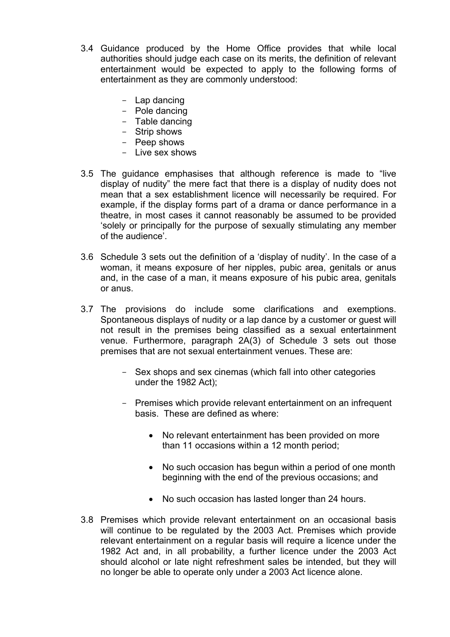- 3.4 Guidance produced by the Home Office provides that while local authorities should judge each case on its merits, the definition of relevant entertainment would be expected to apply to the following forms of entertainment as they are commonly understood:
	- Lap dancing
	- Pole dancing
	- Table dancing
	- Strip shows
	- Peep shows
	- Live sex shows
- 3.5 The guidance emphasises that although reference is made to "live display of nudity" the mere fact that there is a display of nudity does not mean that a sex establishment licence will necessarily be required. For example, if the display forms part of a drama or dance performance in a theatre, in most cases it cannot reasonably be assumed to be provided 'solely or principally for the purpose of sexually stimulating any member of the audience'.
- 3.6 Schedule 3 sets out the definition of a 'display of nudity'. In the case of a woman, it means exposure of her nipples, pubic area, genitals or anus and, in the case of a man, it means exposure of his pubic area, genitals or anus.
- 3.7 The provisions do include some clarifications and exemptions. Spontaneous displays of nudity or a lap dance by a customer or guest will not result in the premises being classified as a sexual entertainment venue. Furthermore, paragraph 2A(3) of Schedule 3 sets out those premises that are not sexual entertainment venues. These are:
	- Sex shops and sex cinemas (which fall into other categories under the 1982 Act);
	- Premises which provide relevant entertainment on an infrequent basis. These are defined as where:
		- No relevant entertainment has been provided on more than 11 occasions within a 12 month period;
		- No such occasion has begun within a period of one month beginning with the end of the previous occasions; and
		- No such occasion has lasted longer than 24 hours.
- 3.8 Premises which provide relevant entertainment on an occasional basis will continue to be regulated by the 2003 Act. Premises which provide relevant entertainment on a regular basis will require a licence under the 1982 Act and, in all probability, a further licence under the 2003 Act should alcohol or late night refreshment sales be intended, but they will no longer be able to operate only under a 2003 Act licence alone.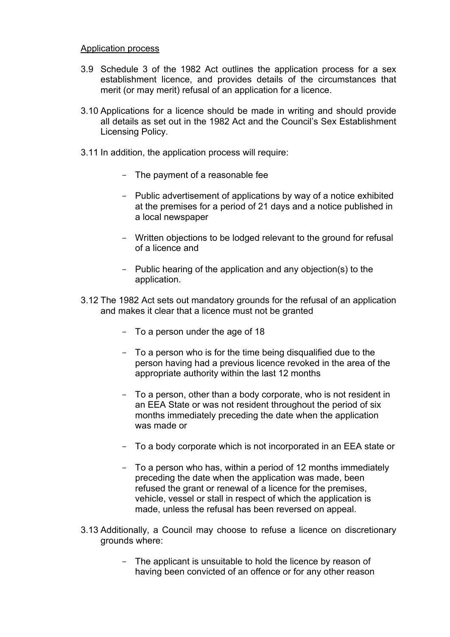#### Application process

- 3.9 Schedule 3 of the 1982 Act outlines the application process for a sex establishment licence, and provides details of the circumstances that merit (or may merit) refusal of an application for a licence.
- 3.10 Applications for a licence should be made in writing and should provide all details as set out in the 1982 Act and the Council's Sex Establishment Licensing Policy.
- 3.11 In addition, the application process will require:
	- The payment of a reasonable fee
	- Public advertisement of applications by way of a notice exhibited at the premises for a period of 21 days and a notice published in a local newspaper
	- Written objections to be lodged relevant to the ground for refusal of a licence and
	- Public hearing of the application and any objection(s) to the application.
- 3.12 The 1982 Act sets out mandatory grounds for the refusal of an application and makes it clear that a licence must not be granted
	- To a person under the age of 18
	- To a person who is for the time being disqualified due to the person having had a previous licence revoked in the area of the appropriate authority within the last 12 months
	- To a person, other than a body corporate, who is not resident in an EEA State or was not resident throughout the period of six months immediately preceding the date when the application was made or
	- To a body corporate which is not incorporated in an EEA state or
	- To a person who has, within a period of 12 months immediately preceding the date when the application was made, been refused the grant or renewal of a licence for the premises, vehicle, vessel or stall in respect of which the application is made, unless the refusal has been reversed on appeal.
- 3.13 Additionally, a Council may choose to refuse a licence on discretionary grounds where:
	- The applicant is unsuitable to hold the licence by reason of having been convicted of an offence or for any other reason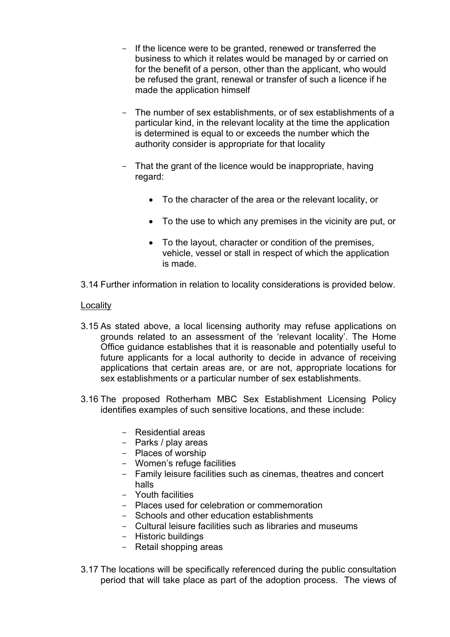- If the licence were to be granted, renewed or transferred the business to which it relates would be managed by or carried on for the benefit of a person, other than the applicant, who would be refused the grant, renewal or transfer of such a licence if he made the application himself
- The number of sex establishments, or of sex establishments of a particular kind, in the relevant locality at the time the application is determined is equal to or exceeds the number which the authority consider is appropriate for that locality
- That the grant of the licence would be inappropriate, having regard:
	- To the character of the area or the relevant locality, or
	- To the use to which any premises in the vicinity are put, or
	- To the layout, character or condition of the premises, vehicle, vessel or stall in respect of which the application is made.
- 3.14 Further information in relation to locality considerations is provided below.

## **Locality**

- 3.15 As stated above, a local licensing authority may refuse applications on grounds related to an assessment of the 'relevant locality'. The Home Office guidance establishes that it is reasonable and potentially useful to future applicants for a local authority to decide in advance of receiving applications that certain areas are, or are not, appropriate locations for sex establishments or a particular number of sex establishments.
- 3.16 The proposed Rotherham MBC Sex Establishment Licensing Policy identifies examples of such sensitive locations, and these include:
	- Residential areas
	- Parks / play areas
	- Places of worship
	- Women's refuge facilities
	- Family leisure facilities such as cinemas, theatres and concert halls
	- Youth facilities
	- Places used for celebration or commemoration
	- Schools and other education establishments
	- Cultural leisure facilities such as libraries and museums
	- Historic buildings
	- Retail shopping areas
- 3.17 The locations will be specifically referenced during the public consultation period that will take place as part of the adoption process. The views of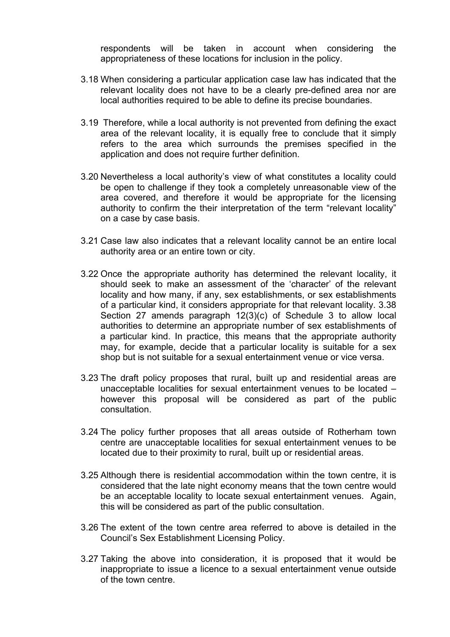respondents will be taken in account when considering the appropriateness of these locations for inclusion in the policy.

- 3.18 When considering a particular application case law has indicated that the relevant locality does not have to be a clearly pre-defined area nor are local authorities required to be able to define its precise boundaries.
- 3.19 Therefore, while a local authority is not prevented from defining the exact area of the relevant locality, it is equally free to conclude that it simply refers to the area which surrounds the premises specified in the application and does not require further definition.
- 3.20 Nevertheless a local authority's view of what constitutes a locality could be open to challenge if they took a completely unreasonable view of the area covered, and therefore it would be appropriate for the licensing authority to confirm the their interpretation of the term "relevant locality" on a case by case basis.
- 3.21 Case law also indicates that a relevant locality cannot be an entire local authority area or an entire town or city.
- 3.22 Once the appropriate authority has determined the relevant locality, it should seek to make an assessment of the 'character' of the relevant locality and how many, if any, sex establishments, or sex establishments of a particular kind, it considers appropriate for that relevant locality. 3.38 Section 27 amends paragraph 12(3)(c) of Schedule 3 to allow local authorities to determine an appropriate number of sex establishments of a particular kind. In practice, this means that the appropriate authority may, for example, decide that a particular locality is suitable for a sex shop but is not suitable for a sexual entertainment venue or vice versa.
- 3.23 The draft policy proposes that rural, built up and residential areas are unacceptable localities for sexual entertainment venues to be located – however this proposal will be considered as part of the public consultation.
- 3.24 The policy further proposes that all areas outside of Rotherham town centre are unacceptable localities for sexual entertainment venues to be located due to their proximity to rural, built up or residential areas.
- 3.25 Although there is residential accommodation within the town centre, it is considered that the late night economy means that the town centre would be an acceptable locality to locate sexual entertainment venues. Again, this will be considered as part of the public consultation.
- 3.26 The extent of the town centre area referred to above is detailed in the Council's Sex Establishment Licensing Policy.
- 3.27 Taking the above into consideration, it is proposed that it would be inappropriate to issue a licence to a sexual entertainment venue outside of the town centre.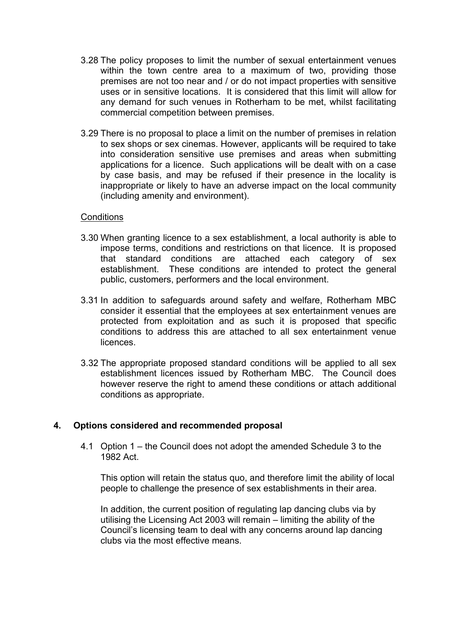- 3.28 The policy proposes to limit the number of sexual entertainment venues within the town centre area to a maximum of two, providing those premises are not too near and / or do not impact properties with sensitive uses or in sensitive locations. It is considered that this limit will allow for any demand for such venues in Rotherham to be met, whilst facilitating commercial competition between premises.
- 3.29 There is no proposal to place a limit on the number of premises in relation to sex shops or sex cinemas. However, applicants will be required to take into consideration sensitive use premises and areas when submitting applications for a licence. Such applications will be dealt with on a case by case basis, and may be refused if their presence in the locality is inappropriate or likely to have an adverse impact on the local community (including amenity and environment).

#### **Conditions**

- 3.30 When granting licence to a sex establishment, a local authority is able to impose terms, conditions and restrictions on that licence. It is proposed that standard conditions are attached each category of sex establishment. These conditions are intended to protect the general public, customers, performers and the local environment.
- 3.31 In addition to safeguards around safety and welfare, Rotherham MBC consider it essential that the employees at sex entertainment venues are protected from exploitation and as such it is proposed that specific conditions to address this are attached to all sex entertainment venue licences.
- 3.32 The appropriate proposed standard conditions will be applied to all sex establishment licences issued by Rotherham MBC. The Council does however reserve the right to amend these conditions or attach additional conditions as appropriate.

### **4. Options considered and recommended proposal**

4.1 Option 1 – the Council does not adopt the amended Schedule 3 to the 1982 Act.

This option will retain the status quo, and therefore limit the ability of local people to challenge the presence of sex establishments in their area.

In addition, the current position of regulating lap dancing clubs via by utilising the Licensing Act 2003 will remain – limiting the ability of the Council's licensing team to deal with any concerns around lap dancing clubs via the most effective means.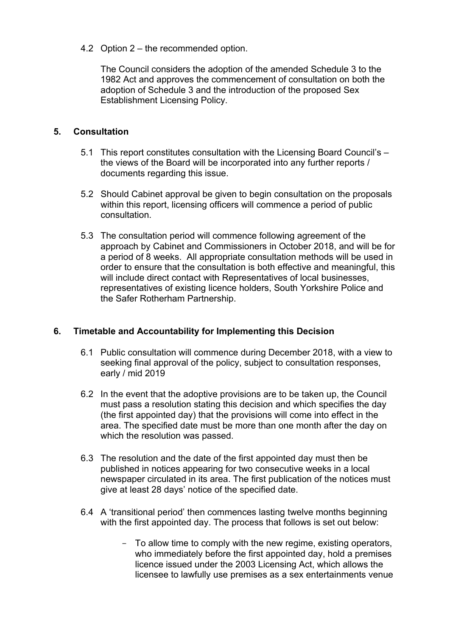4.2 Option 2 – the recommended option.

The Council considers the adoption of the amended Schedule 3 to the 1982 Act and approves the commencement of consultation on both the adoption of Schedule 3 and the introduction of the proposed Sex Establishment Licensing Policy.

## **5. Consultation**

- 5.1 This report constitutes consultation with the Licensing Board Council's the views of the Board will be incorporated into any further reports / documents regarding this issue.
- 5.2 Should Cabinet approval be given to begin consultation on the proposals within this report, licensing officers will commence a period of public consultation.
- 5.3 The consultation period will commence following agreement of the approach by Cabinet and Commissioners in October 2018, and will be for a period of 8 weeks. All appropriate consultation methods will be used in order to ensure that the consultation is both effective and meaningful, this will include direct contact with Representatives of local businesses, representatives of existing licence holders, South Yorkshire Police and the Safer Rotherham Partnership.

## **6. Timetable and Accountability for Implementing this Decision**

- 6.1 Public consultation will commence during December 2018, with a view to seeking final approval of the policy, subject to consultation responses, early / mid 2019
- 6.2 In the event that the adoptive provisions are to be taken up, the Council must pass a resolution stating this decision and which specifies the day (the first appointed day) that the provisions will come into effect in the area. The specified date must be more than one month after the day on which the resolution was passed.
- 6.3 The resolution and the date of the first appointed day must then be published in notices appearing for two consecutive weeks in a local newspaper circulated in its area. The first publication of the notices must give at least 28 days' notice of the specified date.
- 6.4 A 'transitional period' then commences lasting twelve months beginning with the first appointed day. The process that follows is set out below:
	- To allow time to comply with the new regime, existing operators, who immediately before the first appointed day, hold a premises licence issued under the 2003 Licensing Act, which allows the licensee to lawfully use premises as a sex entertainments venue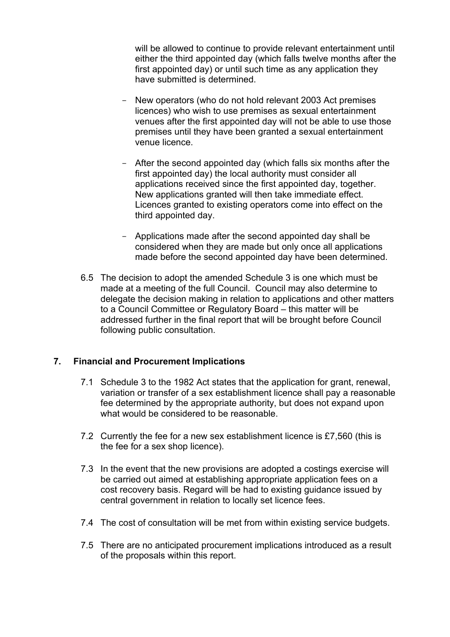will be allowed to continue to provide relevant entertainment until either the third appointed day (which falls twelve months after the first appointed day) or until such time as any application they have submitted is determined.

- New operators (who do not hold relevant 2003 Act premises licences) who wish to use premises as sexual entertainment venues after the first appointed day will not be able to use those premises until they have been granted a sexual entertainment venue licence.
- After the second appointed day (which falls six months after the first appointed day) the local authority must consider all applications received since the first appointed day, together. New applications granted will then take immediate effect. Licences granted to existing operators come into effect on the third appointed day.
- Applications made after the second appointed day shall be considered when they are made but only once all applications made before the second appointed day have been determined.
- 6.5 The decision to adopt the amended Schedule 3 is one which must be made at a meeting of the full Council. Council may also determine to delegate the decision making in relation to applications and other matters to a Council Committee or Regulatory Board – this matter will be addressed further in the final report that will be brought before Council following public consultation.

## **7. Financial and Procurement Implications**

- 7.1 Schedule 3 to the 1982 Act states that the application for grant, renewal, variation or transfer of a sex establishment licence shall pay a reasonable fee determined by the appropriate authority, but does not expand upon what would be considered to be reasonable.
- 7.2 Currently the fee for a new sex establishment licence is £7,560 (this is the fee for a sex shop licence).
- 7.3 In the event that the new provisions are adopted a costings exercise will be carried out aimed at establishing appropriate application fees on a cost recovery basis. Regard will be had to existing guidance issued by central government in relation to locally set licence fees.
- 7.4 The cost of consultation will be met from within existing service budgets.
- 7.5 There are no anticipated procurement implications introduced as a result of the proposals within this report.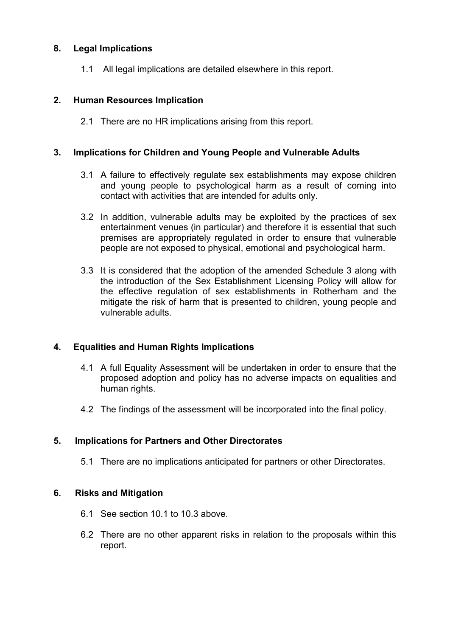## **8. Legal Implications**

1.1 All legal implications are detailed elsewhere in this report.

## **2. Human Resources Implication**

2.1 There are no HR implications arising from this report.

### **3. Implications for Children and Young People and Vulnerable Adults**

- 3.1 A failure to effectively regulate sex establishments may expose children and young people to psychological harm as a result of coming into contact with activities that are intended for adults only.
- 3.2 In addition, vulnerable adults may be exploited by the practices of sex entertainment venues (in particular) and therefore it is essential that such premises are appropriately regulated in order to ensure that vulnerable people are not exposed to physical, emotional and psychological harm.
- 3.3 It is considered that the adoption of the amended Schedule 3 along with the introduction of the Sex Establishment Licensing Policy will allow for the effective regulation of sex establishments in Rotherham and the mitigate the risk of harm that is presented to children, young people and vulnerable adults.

## **4. Equalities and Human Rights Implications**

- 4.1 A full Equality Assessment will be undertaken in order to ensure that the proposed adoption and policy has no adverse impacts on equalities and human rights.
- 4.2 The findings of the assessment will be incorporated into the final policy.

## **5. Implications for Partners and Other Directorates**

5.1 There are no implications anticipated for partners or other Directorates.

### **6. Risks and Mitigation**

- 6.1 See section 10.1 to 10.3 above.
- 6.2 There are no other apparent risks in relation to the proposals within this report.